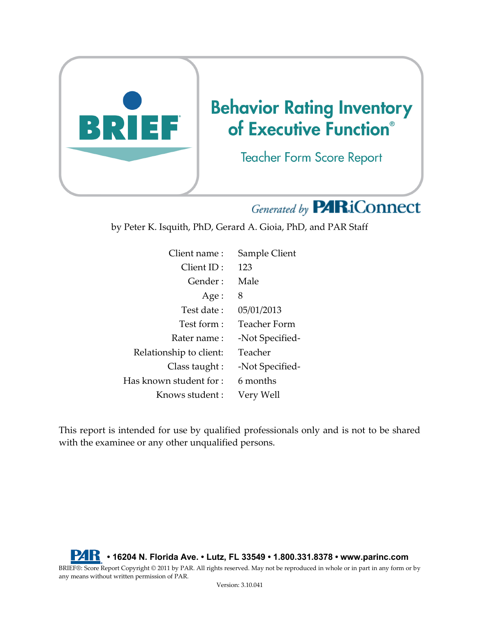

# Generated by **PARiConnect**

by Peter K. Isquith, PhD, Gerard A. Gioia, PhD, and PAR Staff

| Client name:            | Sample Client       |
|-------------------------|---------------------|
| Client ID:              | 123                 |
| Gender:                 | Male                |
| Age :                   | 8                   |
| Test date:              | 05/01/2013          |
| Test form :             | <b>Teacher Form</b> |
| Rater name :            | -Not Specified-     |
| Relationship to client: | Teacher             |
| Class taught :          | -Not Specified-     |
| Has known student for : | 6 months            |
| Knows student:          | Very Well           |

This report is intended for use by qualified professionals only and is not to be shared with the examinee or any other unqualified persons.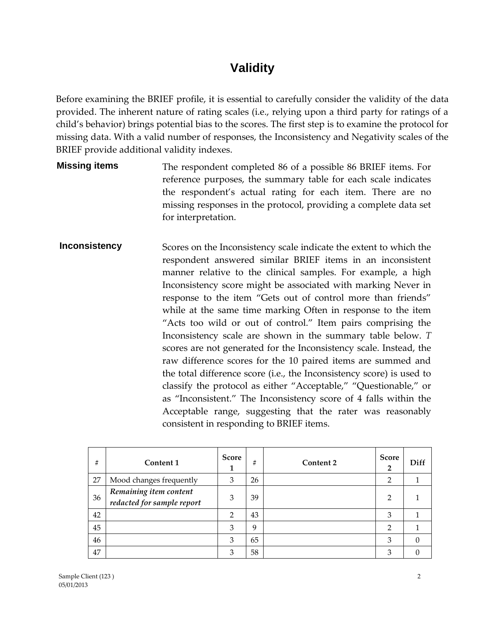#### **Validity**

Before examining the BRIEF profile, it is essential to carefully consider the validity of the data provided. The inherent nature of rating scales (i.e., relying upon a third party for ratings of a child's behavior) brings potential bias to the scores. The first step is to examine the protocol for missing data. With a valid number of responses, the Inconsistency and Negativity scales of the BRIEF provide additional validity indexes.

- **Missing items** The respondent completed 86 of a possible 86 BRIEF items. For reference purposes, the summary table for each scale indicates the respondent's actual rating for each item. There are no missing responses in the protocol, providing a complete data set for interpretation.
- **Inconsistency** Scores on the Inconsistency scale indicate the extent to which the respondent answered similar BRIEF items in an inconsistent manner relative to the clinical samples. For example, a high Inconsistency score might be associated with marking Never in response to the item "Gets out of control more than friends" while at the same time marking Often in response to the item "Acts too wild or out of control." Item pairs comprising the Inconsistency scale are shown in the summary table below. *T*  scores are not generated for the Inconsistency scale. Instead, the raw difference scores for the 10 paired items are summed and the total difference score (i.e., the Inconsistency score) is used to classify the protocol as either "Acceptable," "Questionable," or as "Inconsistent." The Inconsistency score of 4 falls within the Acceptable range, suggesting that the rater was reasonably consistent in responding to BRIEF items.

| #  | Content 1                                            | <b>Score</b><br>1 | #  | Content 2 | Score<br>$\overline{2}$ | Diff |
|----|------------------------------------------------------|-------------------|----|-----------|-------------------------|------|
| 27 | Mood changes frequently                              | 3                 | 26 |           | $\overline{2}$          |      |
| 36 | Remaining item content<br>redacted for sample report | 3                 | 39 |           | 2                       |      |
| 42 |                                                      | 2                 | 43 |           | 3                       |      |
| 45 |                                                      | 3                 | 9  |           | $\overline{2}$          |      |
| 46 |                                                      | 3                 | 65 |           | 3                       | 0    |
| 47 |                                                      | 3                 | 58 |           | 3                       | 0    |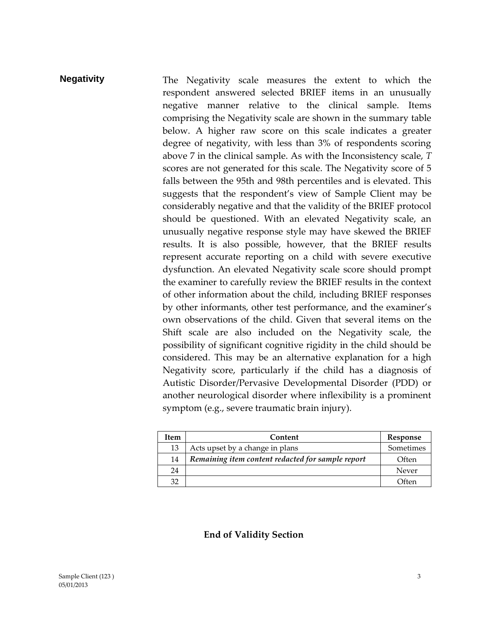#### **Negativity** The Negativity scale measures the extent to which the respondent answered selected BRIEF items in an unusually negative manner relative to the clinical sample. Items comprising the Negativity scale are shown in the summary table below. A higher raw score on this scale indicates a greater degree of negativity, with less than 3% of respondents scoring above 7 in the clinical sample. As with the Inconsistency scale, *T*  scores are not generated for this scale. The Negativity score of 5 falls between the 95th and 98th percentiles and is elevated. This suggests that the respondent's view of Sample Client may be considerably negative and that the validity of the BRIEF protocol should be questioned. With an elevated Negativity scale, an unusually negative response style may have skewed the BRIEF results. It is also possible, however, that the BRIEF results represent accurate reporting on a child with severe executive dysfunction. An elevated Negativity scale score should prompt the examiner to carefully review the BRIEF results in the context of other information about the child, including BRIEF responses by other informants, other test performance, and the examiner's own observations of the child. Given that several items on the Shift scale are also included on the Negativity scale, the possibility of significant cognitive rigidity in the child should be considered. This may be an alternative explanation for a high Negativity score, particularly if the child has a diagnosis of Autistic Disorder/Pervasive Developmental Disorder (PDD) or another neurological disorder where inflexibility is a prominent symptom (e.g., severe traumatic brain injury).

| Item | Content                                           | Response  |
|------|---------------------------------------------------|-----------|
| 13   | Acts upset by a change in plans                   | Sometimes |
| 14   | Remaining item content redacted for sample report | Often     |
| 24   |                                                   | Never     |
| 32   |                                                   | Often     |

#### **End of Validity Section**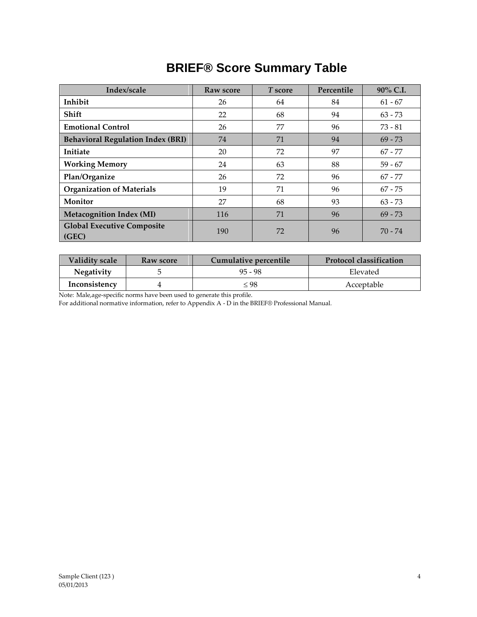## **BRIEF® Score Summary Table**

| Index/scale                                | Raw score | T score  | Percentile | 90% C.I.  |  |
|--------------------------------------------|-----------|----------|------------|-----------|--|
| Inhibit                                    | 26        | 64       | 84         | $61 - 67$ |  |
| Shift                                      | 22        | 68<br>94 |            | $63 - 73$ |  |
| <b>Emotional Control</b>                   | 26        | 77<br>96 |            | $73 - 81$ |  |
| <b>Behavioral Regulation Index (BRI)</b>   | 74        | 71       | 94         |           |  |
| Initiate                                   | 20        | 72<br>97 |            | $67 - 77$ |  |
| <b>Working Memory</b>                      | 24        | 63       | 88         |           |  |
| Plan/Organize                              | 26        | 72       | 96         | $67 - 77$ |  |
| <b>Organization of Materials</b>           | 19        | 71<br>96 |            | $67 - 75$ |  |
| Monitor                                    | 27        | 68<br>93 |            | $63 - 73$ |  |
| <b>Metacognition Index (MI)</b>            | 116       | 71       | 96         | $69 - 73$ |  |
| <b>Global Executive Composite</b><br>(GEC) | 190       | 72       | 96         | $70 - 74$ |  |

| <b>Validity scale</b><br>Raw score |  | Cumulative percentile | <b>Protocol classification</b> |  |
|------------------------------------|--|-----------------------|--------------------------------|--|
| <b>Negativity</b>                  |  | $95 - 98$             | Elevated                       |  |
| Inconsistency                      |  | ≤ 98                  | Acceptable                     |  |

Note: Male,age-specific norms have been used to generate this profile.

For additional normative information, refer to Appendix A - D in the BRIEF® Professional Manual*.*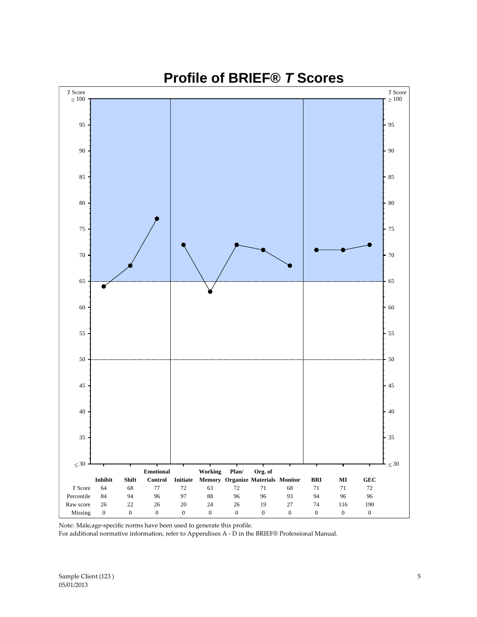

#### **Profile of BRIEF®** *T* **Scores**

Note: Male,age-specific norms have been used to generate this profile.

For additional normative information, refer to Appendixes A - D in the BRIEF® Professional Manual.